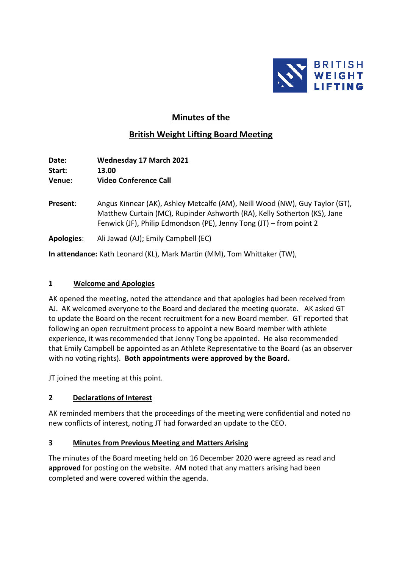

# **Minutes of the**

# **British Weight Lifting Board Meeting**

**Date: Wednesday 17 March 2021 Start: 13.00 Venue: Video Conference Call**

- **Present**: Angus Kinnear (AK), Ashley Metcalfe (AM), Neill Wood (NW), Guy Taylor (GT), Matthew Curtain (MC), Rupinder Ashworth (RA), Kelly Sotherton (KS), Jane Fenwick (JF), Philip Edmondson (PE), Jenny Tong (JT) – from point 2
- **Apologies**: Ali Jawad (AJ); Emily Campbell (EC)

**In attendance:** Kath Leonard (KL), Mark Martin (MM), Tom Whittaker (TW),

#### **1 Welcome and Apologies**

AK opened the meeting, noted the attendance and that apologies had been received from AJ. AK welcomed everyone to the Board and declared the meeting quorate. AK asked GT to update the Board on the recent recruitment for a new Board member. GT reported that following an open recruitment process to appoint a new Board member with athlete experience, it was recommended that Jenny Tong be appointed. He also recommended that Emily Campbell be appointed as an Athlete Representative to the Board (as an observer with no voting rights). **Both appointments were approved by the Board.**

JT joined the meeting at this point.

#### **2 Declarations of Interest**

AK reminded members that the proceedings of the meeting were confidential and noted no new conflicts of interest, noting JT had forwarded an update to the CEO.

# **3 Minutes from Previous Meeting and Matters Arising**

The minutes of the Board meeting held on 16 December 2020 were agreed as read and **approved** for posting on the website. AM noted that any matters arising had been completed and were covered within the agenda.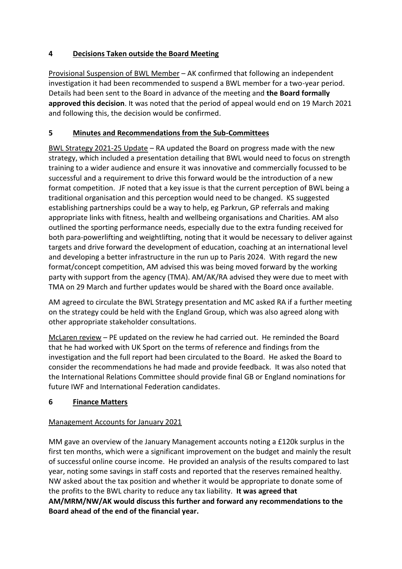# **4 Decisions Taken outside the Board Meeting**

Provisional Suspension of BWL Member – AK confirmed that following an independent investigation it had been recommended to suspend a BWL member for a two-year period. Details had been sent to the Board in advance of the meeting and **the Board formally approved this decision**. It was noted that the period of appeal would end on 19 March 2021 and following this, the decision would be confirmed.

### **5 Minutes and Recommendations from the Sub-Committees**

BWL Strategy 2021-25 Update – RA updated the Board on progress made with the new strategy, which included a presentation detailing that BWL would need to focus on strength training to a wider audience and ensure it was innovative and commercially focussed to be successful and a requirement to drive this forward would be the introduction of a new format competition. JF noted that a key issue is that the current perception of BWL being a traditional organisation and this perception would need to be changed. KS suggested establishing partnerships could be a way to help, eg Parkrun, GP referrals and making appropriate links with fitness, health and wellbeing organisations and Charities. AM also outlined the sporting performance needs, especially due to the extra funding received for both para-powerlifting and weightlifting, noting that it would be necessary to deliver against targets and drive forward the development of education, coaching at an international level and developing a better infrastructure in the run up to Paris 2024. With regard the new format/concept competition, AM advised this was being moved forward by the working party with support from the agency (TMA). AM/AK/RA advised they were due to meet with TMA on 29 March and further updates would be shared with the Board once available.

AM agreed to circulate the BWL Strategy presentation and MC asked RA if a further meeting on the strategy could be held with the England Group, which was also agreed along with other appropriate stakeholder consultations.

McLaren review – PE updated on the review he had carried out. He reminded the Board that he had worked with UK Sport on the terms of reference and findings from the investigation and the full report had been circulated to the Board. He asked the Board to consider the recommendations he had made and provide feedback. It was also noted that the International Relations Committee should provide final GB or England nominations for future IWF and International Federation candidates.

# **6 Finance Matters**

# Management Accounts for January 2021

MM gave an overview of the January Management accounts noting a £120k surplus in the first ten months, which were a significant improvement on the budget and mainly the result of successful online course income. He provided an analysis of the results compared to last year, noting some savings in staff costs and reported that the reserves remained healthy. NW asked about the tax position and whether it would be appropriate to donate some of the profits to the BWL charity to reduce any tax liability. **It was agreed that AM/MRM/NW/AK would discuss this further and forward any recommendations to the Board ahead of the end of the financial year.**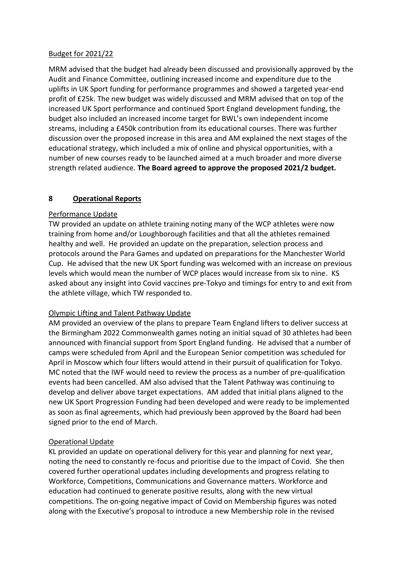#### Budget for 2021/22

MRM advised that the budget had already been discussed and provisionally approved by the Audit and Finance Committee, outlining increased income and expenditure due to the uplifts in UK Sport funding for performance programmes and showed a targeted year-end profit of £25k. The new budget was widely discussed and MRM advised that on top of the increased UK Sport performance and continued Sport England development funding, the budget also included an increased income target for BWL's own independent income streams, including a £450k contribution from its educational courses. There was further discussion over the proposed increase in this area and AM explained the next stages of the educational strategy, which included a mix of online and physical opportunities, with a number of new courses ready to be launched aimed at a much broader and more diverse strength related audience. **The Board agreed to approve the proposed 2021/2 budget.**

#### **8 Operational Reports**

#### Performance Update

TW provided an update on athlete training noting many of the WCP athletes were now training from home and/or Loughborough facilities and that all the athletes remained healthy and well. He provided an update on the preparation, selection process and protocols around the Para Games and updated on preparations for the Manchester World Cup. He advised that the new UK Sport funding was welcomed with an increase on previous levels which would mean the number of WCP places would increase from six to nine. KS asked about any insight into Covid vaccines pre-Tokyo and timings for entry to and exit from the athlete village, which TW responded to.

#### Olympic Lifting and Talent Pathway Update

AM provided an overview of the plans to prepare Team England lifters to deliver success at the Birmingham 2022 Commonwealth games noting an initial squad of 30 athletes had been announced with financial support from Sport England funding. He advised that a number of camps were scheduled from April and the European Senior competition was scheduled for April in Moscow which four lifters would attend in their pursuit of qualification for Tokyo. MC noted that the IWF would need to review the process as a number of pre-qualification events had been cancelled. AM also advised that the Talent Pathway was continuing to develop and deliver above target expectations. AM added that initial plans aligned to the new UK Sport Progression Funding had been developed and were ready to be implemented as soon as final agreements, which had previously been approved by the Board had been signed prior to the end of March.

#### Operational Update

KL provided an update on operational delivery for this year and planning for next year, noting the need to constantly re-focus and prioritise due to the impact of Covid. She then covered further operational updates including developments and progress relating to Workforce, Competitions, Communications and Governance matters. Workforce and education had continued to generate positive results, along with the new virtual competitions. The on-going negative impact of Covid on Membership figures was noted along with the Executive's proposal to introduce a new Membership role in the revised